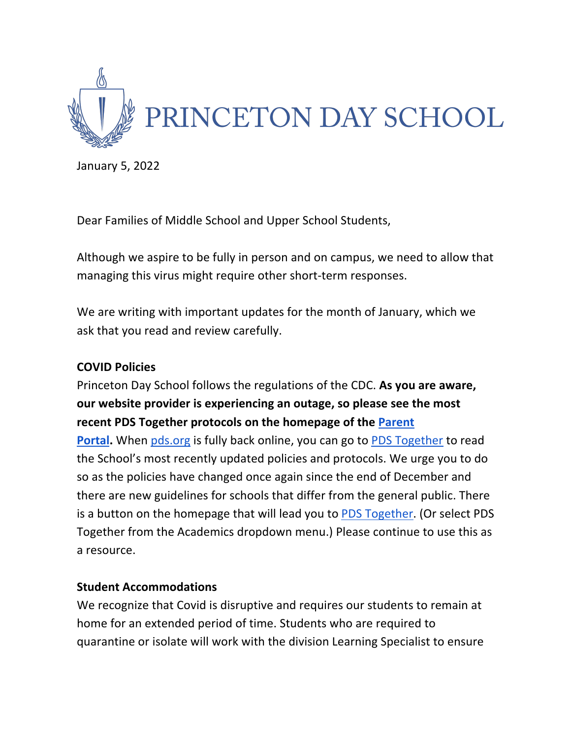

January 5, 2022

Dear Families of Middle School and Upper School Students,

Although we aspire to be fully in person and on campus, we need to allow that managing this virus might require other short-term responses.

We are writing with important updates for the month of January, which we ask that you read and review carefully.

### **COVID Policies**

Princeton Day School follows the regulations of the CDC. **As you are aware, our website provider is experiencing an outage, so please see the most recent PDS Together protocols on the homepage of the Parent** 

**Portal.** When pds.org is fully back online, you can go to PDS Together to read the School's most recently updated policies and protocols. We urge you to do so as the policies have changed once again since the end of December and there are new guidelines for schools that differ from the general public. There is a button on the homepage that will lead you to PDS Together. (Or select PDS Together from the Academics dropdown menu.) Please continue to use this as a resource.

### **Student Accommodations**

We recognize that Covid is disruptive and requires our students to remain at home for an extended period of time. Students who are required to quarantine or isolate will work with the division Learning Specialist to ensure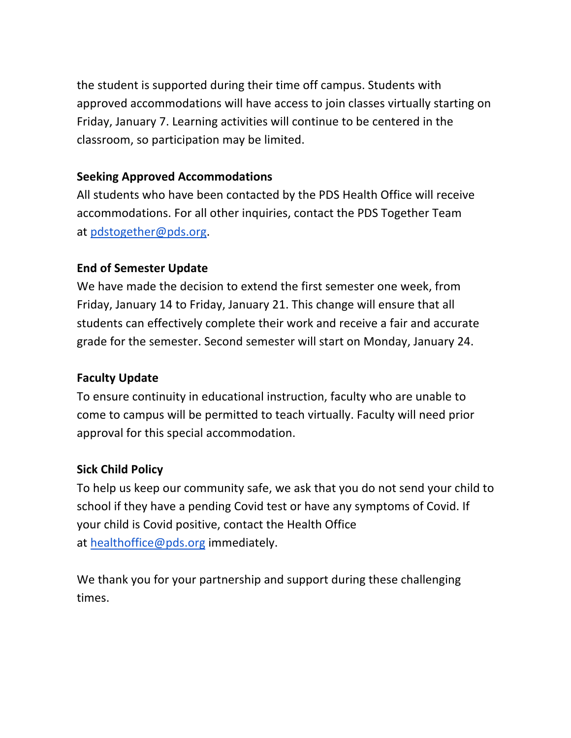the student is supported during their time off campus. Students with approved accommodations will have access to join classes virtually starting on Friday, January 7. Learning activities will continue to be centered in the classroom, so participation may be limited.

## **Seeking Approved Accommodations**

All students who have been contacted by the PDS Health Office will receive accommodations. For all other inquiries, contact the PDS Together Team at pdstogether@pds.org.

## **End of Semester Update**

We have made the decision to extend the first semester one week, from Friday, January 14 to Friday, January 21. This change will ensure that all students can effectively complete their work and receive a fair and accurate grade for the semester. Second semester will start on Monday, January 24.

# **Faculty Update**

To ensure continuity in educational instruction, faculty who are unable to come to campus will be permitted to teach virtually. Faculty will need prior approval for this special accommodation.

# **Sick Child Policy**

To help us keep our community safe, we ask that you do not send your child to school if they have a pending Covid test or have any symptoms of Covid. If your child is Covid positive, contact the Health Office at healthoffice@pds.org immediately.

We thank you for your partnership and support during these challenging times.